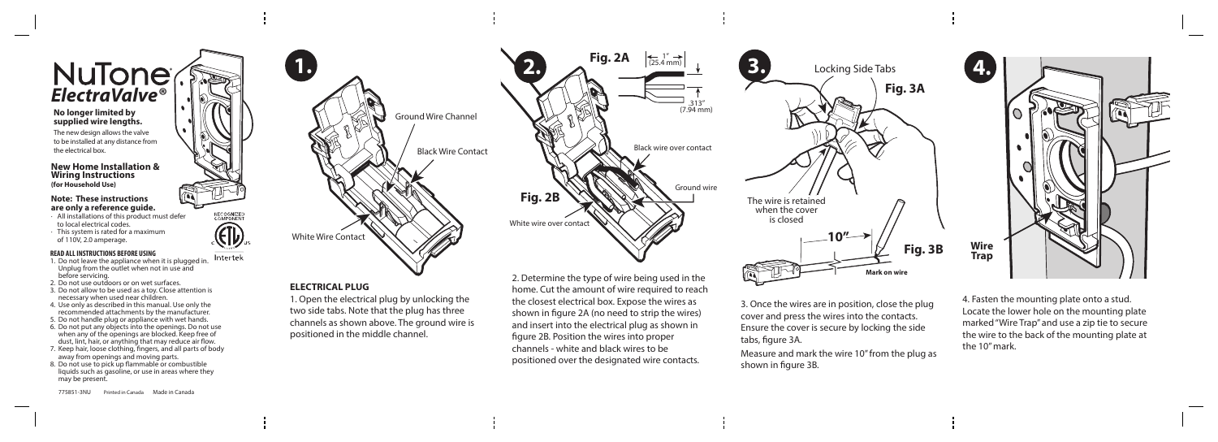# $NuTone<sub>o</sub>$

#### **No longer limited by supplied wire lengths.**

The new design allows the valve to be installed at any distance from the electrical box.

Intertek 1. Do not leave the appliance when it is plugged in. Unplug from the outlet when not in use and before servicing.

**RECOGNIZED**<br>COMPONENT

#### **READ ALL INSTRUCTIONS BEFORE USING**

- 2. Do not use outdoors or on wet surfaces.
- 3. Do not allow to be used as a toy. Close attention is necessary when used near children.
- 4. Use only as described in this manual. Use only the recommended attachments by the manufacturer.
- 5. Do not handle plug or appliance with wet hands.
- 6. Do not put any objects into the openings. Do not use when any of the openings are blocked. Keep free of dust, lint, hair, or anything that may reduce air flow.
- 7. Keep hair, loose clothing, fingers, and all parts of body away from openings and moving parts.
- 8. Do not use to pick up flammable or combustible liquids such as gasoline, or use in areas where they may be present.

3. Once the wires are in position, close the plug cover and press the wires into the contacts. Ensure the cover is secure by locking the side tabs, figure 3A.

Measure and mark the wire 10" from the plug as shown in figure 3B.

775851-3NU Printed in Canada Made in Canada 2. Determine the type of wire being used in the home. Cut the amount of wire required to reach the closest electrical box. Expose the wires as shown in figure 2A (no need to strip the wires) and insert into the electrical plug as shown in figure 2B. Position the wires into proper channels - white and black wires to be positioned over the designated wire contacts.



White wire over contact Black wire over contact Ground wire  $(7.94 \text{ mm})$  $\left|\leftarrow$  1"  $\rightarrow$  (25.4 mm) **Fig. 2B**

### **ELECTRICAL PLUG**

1. Open the electrical plug by unlocking the two side tabs. Note that the plug has three channels as shown above. The ground wire is positioned in the middle channel.

#### **New Home Installation & Wiring Instructions (for Household Use)**

#### **Note: These instructions are only a reference guide.**

- · All installations of this product must defer to local electrical codes.
- · This system is rated for a maximum of 110V, 2.0 amperage.



4. Fasten the mounting plate onto a stud. Locate the lower hole on the mounting plate marked "Wire Trap" and use a zip tie to secure the wire to the back of the mounting plate at the 10" mark.